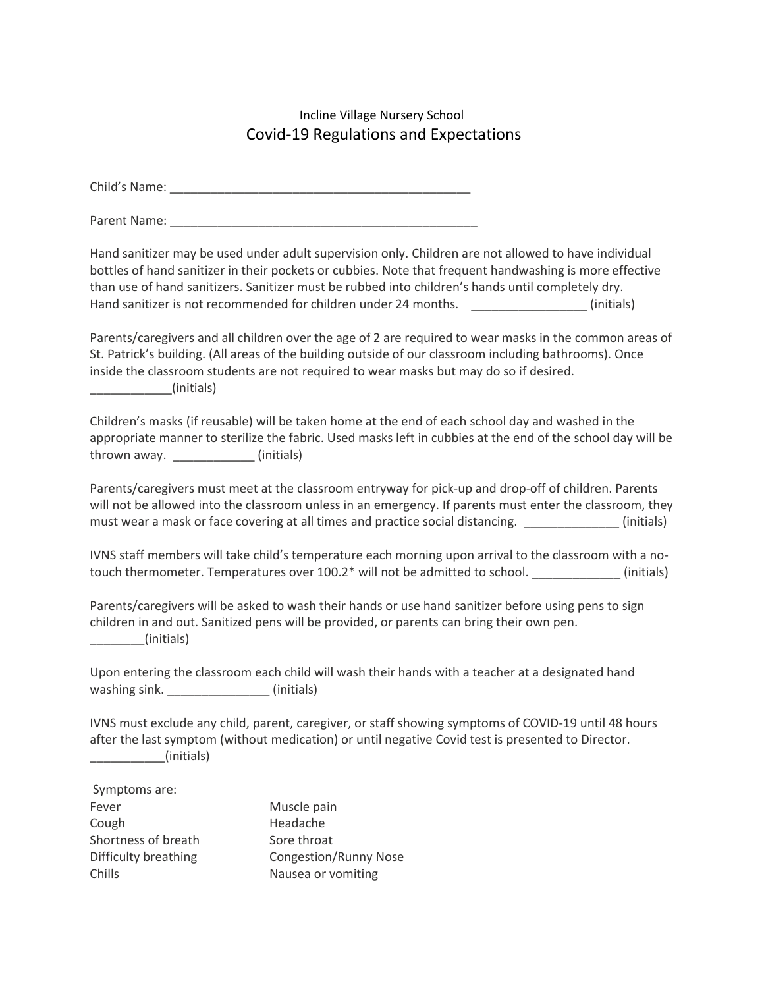## Incline Village Nursery School Covid-19 Regulations and Expectations

Child's Name: \_\_\_\_\_\_\_\_\_\_\_\_\_\_\_\_\_\_\_\_\_\_\_\_\_\_\_\_\_\_\_\_\_\_\_\_\_\_\_\_\_\_\_\_

Parent Name: \_\_\_\_\_\_\_\_\_\_\_\_\_\_\_\_\_\_\_\_\_\_\_\_\_\_\_\_\_\_\_\_\_\_\_\_\_\_\_\_\_\_\_\_\_

Hand sanitizer may be used under adult supervision only. Children are not allowed to have individual bottles of hand sanitizer in their pockets or cubbies. Note that frequent handwashing is more effective than use of hand sanitizers. Sanitizer must be rubbed into children's hands until completely dry. Hand sanitizer is not recommended for children under 24 months.  $\qquad \qquad$  (initials)

Parents/caregivers and all children over the age of 2 are required to wear masks in the common areas of St. Patrick's building. (All areas of the building outside of our classroom including bathrooms). Once inside the classroom students are not required to wear masks but may do so if desired.  $(n)$  initials)

Children's masks (if reusable) will be taken home at the end of each school day and washed in the appropriate manner to sterilize the fabric. Used masks left in cubbies at the end of the school day will be thrown away. \_\_\_\_\_\_\_\_\_\_\_\_ (initials)

Parents/caregivers must meet at the classroom entryway for pick-up and drop-off of children. Parents will not be allowed into the classroom unless in an emergency. If parents must enter the classroom, they must wear a mask or face covering at all times and practice social distancing.  $\qquad \qquad$  (initials)

IVNS staff members will take child's temperature each morning upon arrival to the classroom with a notouch thermometer. Temperatures over 100.2\* will not be admitted to school.  $\qquad \qquad$  (initials)

Parents/caregivers will be asked to wash their hands or use hand sanitizer before using pens to sign children in and out. Sanitized pens will be provided, or parents can bring their own pen. \_\_\_\_\_\_\_\_(initials)

Upon entering the classroom each child will wash their hands with a teacher at a designated hand washing sink. \_\_\_\_\_\_\_\_\_\_\_\_\_\_\_\_\_\_\_\_\_ (initials)

IVNS must exclude any child, parent, caregiver, or staff showing symptoms of COVID-19 until 48 hours after the last symptom (without medication) or until negative Covid test is presented to Director.  $\Box$  (initials)

| Symptoms are:        |                              |
|----------------------|------------------------------|
| Fever                | Muscle pain                  |
| Cough                | Headache                     |
| Shortness of breath  | Sore throat                  |
| Difficulty breathing | <b>Congestion/Runny Nose</b> |
| Chills               | Nausea or vomiting           |
|                      |                              |